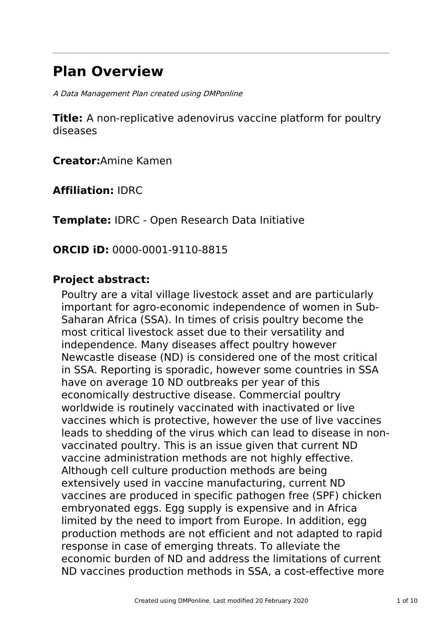# **Plan Overview**

A Data Management Plan created using DMPonline

**Title:** A non-replicative adenovirus vaccine platform for poultry diseases

**Creator:**Amine Kamen

**Affiliation:** IDRC

**Template:** IDRC - Open Research Data Initiative

**ORCID iD:** 0000-0001-9110-8815

### **Project abstract:**

Poultry are a vital village livestock asset and are particularly important for agro-economic independence of women in Sub-Saharan Africa (SSA). In times of crisis poultry become the most critical livestock asset due to their versatility and independence. Many diseases affect poultry however Newcastle disease (ND) is considered one of the most critical in SSA. Reporting is sporadic, however some countries in SSA have on average 10 ND outbreaks per year of this economically destructive disease. Commercial poultry worldwide is routinely vaccinated with inactivated or live vaccines which is protective, however the use of live vaccines leads to shedding of the virus which can lead to disease in nonvaccinated poultry. This is an issue given that current ND vaccine administration methods are not highly effective. Although cell culture production methods are being extensively used in vaccine manufacturing, current ND vaccines are produced in specific pathogen free (SPF) chicken embryonated eggs. Egg supply is expensive and in Africa limited by the need to import from Europe. In addition, egg production methods are not efficient and not adapted to rapid response in case of emerging threats. To alleviate the economic burden of ND and address the limitations of current ND vaccines production methods in SSA, a cost-effective more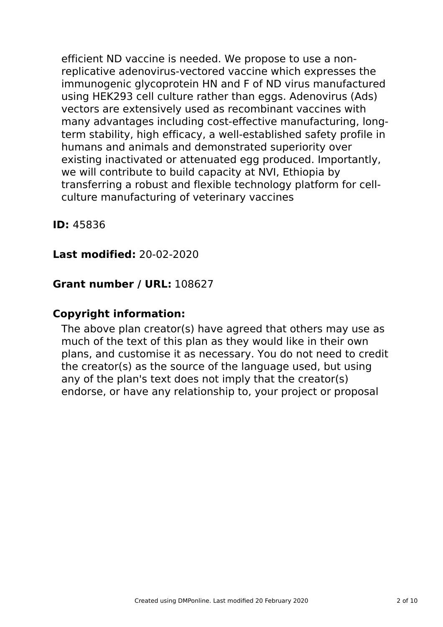efficient ND vaccine is needed. We propose to use a nonreplicative adenovirus-vectored vaccine which expresses the immunogenic glycoprotein HN and F of ND virus manufactured using HEK293 cell culture rather than eggs. Adenovirus (Ads) vectors are extensively used as recombinant vaccines with many advantages including cost-effective manufacturing, longterm stability, high efficacy, a well-established safety profile in humans and animals and demonstrated superiority over existing inactivated or attenuated egg produced. Importantly, we will contribute to build capacity at NVI, Ethiopia by transferring a robust and flexible technology platform for cellculture manufacturing of veterinary vaccines

**ID:** 45836

# **Last modified:** 20-02-2020

# **Grant number / URL:** 108627

# **Copyright information:**

The above plan creator(s) have agreed that others may use as much of the text of this plan as they would like in their own plans, and customise it as necessary. You do not need to credit the creator(s) as the source of the language used, but using any of the plan's text does not imply that the creator(s) endorse, or have any relationship to, your project or proposal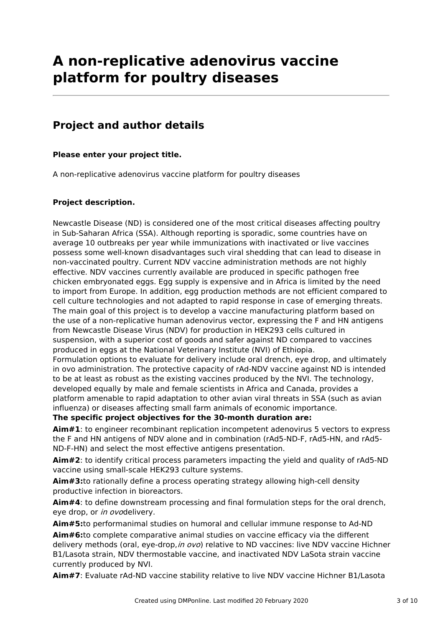# **A non-replicative adenovirus vaccine platform for poultry diseases**

# **Project and author details**

### **Please enter your project title.**

A non-replicative adenovirus vaccine platform for poultry diseases

### **Project description.**

Newcastle Disease (ND) is considered one of the most critical diseases affecting poultry in Sub-Saharan Africa (SSA). Although reporting is sporadic, some countries have on average 10 outbreaks per year while immunizations with inactivated or live vaccines possess some well-known disadvantages such viral shedding that can lead to disease in non-vaccinated poultry. Current NDV vaccine administration methods are not highly effective. NDV vaccines currently available are produced in specific pathogen free chicken embryonated eggs. Egg supply is expensive and in Africa is limited by the need to import from Europe. In addition, egg production methods are not efficient compared to cell culture technologies and not adapted to rapid response in case of emerging threats. The main goal of this project is to develop a vaccine manufacturing platform based on the use of a non-replicative human adenovirus vector, expressing the F and HN antigens from Newcastle Disease Virus (NDV) for production in HEK293 cells cultured in suspension, with a superior cost of goods and safer against ND compared to vaccines produced in eggs at the National Veterinary Institute (NVI) of Ethiopia. Formulation options to evaluate for delivery include oral drench, eye drop, and ultimately in ovo administration. The protective capacity of rAd-NDV vaccine against ND is intended to be at least as robust as the existing vaccines produced by the NVI. The technology, developed equally by male and female scientists in Africa and Canada, provides a platform amenable to rapid adaptation to other avian viral threats in SSA (such as avian influenza) or diseases affecting small farm animals of economic importance.

**The specific project objectives for the 30-month duration are:**

**Aim#1**: to engineer recombinant replication incompetent adenovirus 5 vectors to express the F and HN antigens of NDV alone and in combination (rAd5-ND-F, rAd5-HN, and rAd5- ND-F-HN) and select the most effective antigens presentation.

**Aim#2**: to identify critical process parameters impacting the yield and quality of rAd5-ND vaccine using small-scale HEK293 culture systems.

**Aim#3:**to rationally define a process operating strategy allowing high-cell density productive infection in bioreactors.

**Aim#4**: to define downstream processing and final formulation steps for the oral drench, eye drop, or in ovodelivery.

**Aim#5:**to performanimal studies on humoral and cellular immune response to Ad-ND **Aim#6:**to complete comparative animal studies on vaccine efficacy via the different delivery methods (oral, eye-drop, in ovo) relative to ND vaccines: live NDV vaccine Hichner B1/Lasota strain, NDV thermostable vaccine, and inactivated NDV LaSota strain vaccine currently produced by NVI.

**Aim#7**: Evaluate rAd-ND vaccine stability relative to live NDV vaccine Hichner B1/Lasota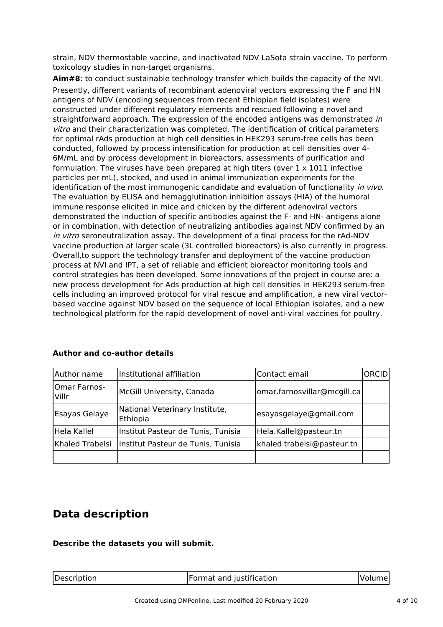strain, NDV thermostable vaccine, and inactivated NDV LaSota strain vaccine. To perform toxicology studies in non-target organisms.

**Aim#8**: to conduct sustainable technology transfer which builds the capacity of the NVI. Presently, different variants of recombinant adenoviral vectors expressing the F and HN antigens of NDV (encoding sequences from recent Ethiopian field isolates) were constructed under different regulatory elements and rescued following a novel and straightforward approach. The expression of the encoded antigens was demonstrated in vitro and their characterization was completed. The identification of critical parameters for optimal rAds production at high cell densities in HEK293 serum-free cells has been conducted, followed by process intensification for production at cell densities over 4- 6M/mL and by process development in bioreactors, assessments of purification and formulation. The viruses have been prepared at high titers (over  $1 \times 1011$  infective particles per mL), stocked, and used in animal immunization experiments for the identification of the most immunogenic candidate and evaluation of functionality in vivo. The evaluation by ELISA and hemagglutination inhibition assays (HIA) of the humoral immune response elicited in mice and chicken by the different adenoviral vectors demonstrated the induction of specific antibodies against the F- and HN- antigens alone or in combination, with detection of neutralizing antibodies against NDV confirmed by an in vitro seroneutralization assay. The development of a final process for the rAd-NDV vaccine production at larger scale (3L controlled bioreactors) is also currently in progress. Overall,to support the technology transfer and deployment of the vaccine production process at NVI and IPT, a set of reliable and efficient bioreactor monitoring tools and control strategies has been developed. Some innovations of the project in course are: a new process development for Ads production at high cell densities in HEK293 serum-free cells including an improved protocol for viral rescue and amplification, a new viral vectorbased vaccine against NDV based on the sequence of local Ethiopian isolates, and a new technological platform for the rapid development of novel anti-viral vaccines for poultry.

| Author name                  | Institutional affiliation                  | Contact email               | ORCID |
|------------------------------|--------------------------------------------|-----------------------------|-------|
| <b>Omar Farnos-</b><br>Villr | McGill University, Canada                  | omar.farnosvillar@mcgill.ca |       |
| Esayas Gelaye                | National Veterinary Institute,<br>Ethiopia | esayasgelaye@gmail.com      |       |
| Hela Kallel                  | Institut Pasteur de Tunis, Tunisia         | Hela.Kallel@pasteur.tn      |       |
| Khaled Trabelsi              | Institut Pasteur de Tunis, Tunisia         | khaled.trabelsi@pasteur.tn  |       |
|                              |                                            |                             |       |

### **Author and co-author details**

### **Data description**

### **Describe the datasets you will submit.**

| Format and justification<br>Description |  |        |
|-----------------------------------------|--|--------|
|                                         |  | volume |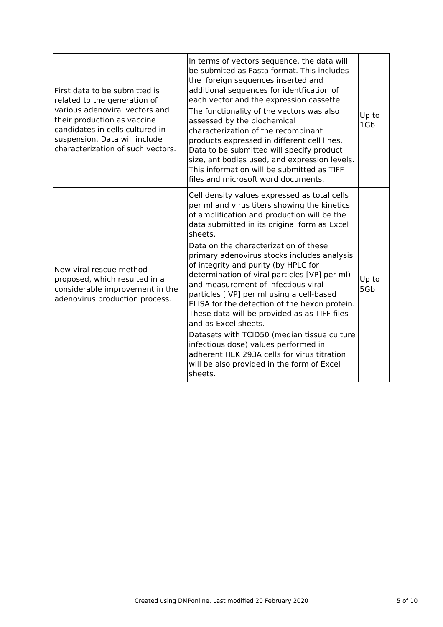| First data to be submitted is<br>related to the generation of<br>various adenoviral vectors and<br>their production as vaccine<br>candidates in cells cultured in<br>suspension. Data will include<br>characterization of such vectors. | In terms of vectors sequence, the data will<br>be submited as Fasta format. This includes<br>the foreign sequences inserted and<br>additional sequences for identfication of<br>each vector and the expression cassette.<br>The functionality of the vectors was also<br>assessed by the biochemical<br>characterization of the recombinant<br>products expressed in different cell lines.<br>Data to be submitted will specify product<br>size, antibodies used, and expression levels.<br>This information will be submitted as TIFF<br>files and microsoft word documents.                                                                                                                                                                                                                       | Up to<br>1Gb |
|-----------------------------------------------------------------------------------------------------------------------------------------------------------------------------------------------------------------------------------------|-----------------------------------------------------------------------------------------------------------------------------------------------------------------------------------------------------------------------------------------------------------------------------------------------------------------------------------------------------------------------------------------------------------------------------------------------------------------------------------------------------------------------------------------------------------------------------------------------------------------------------------------------------------------------------------------------------------------------------------------------------------------------------------------------------|--------------|
| New viral rescue method<br>proposed, which resulted in a<br>considerable improvement in the<br>adenovirus production process.                                                                                                           | Cell density values expressed as total cells<br>per ml and virus titers showing the kinetics<br>of amplification and production will be the<br>data submitted in its original form as Excel<br>sheets.<br>Data on the characterization of these<br>primary adenovirus stocks includes analysis<br>of integrity and purity (by HPLC for<br>determination of viral particles [VP] per ml)<br>and measurement of infectious viral<br>particles [IVP] per ml using a cell-based<br>ELISA for the detection of the hexon protein.<br>These data will be provided as as TIFF files<br>and as Excel sheets.<br>Datasets with TCID50 (median tissue culture<br>infectious dose) values performed in<br>adherent HEK 293A cells for virus titration<br>will be also provided in the form of Excel<br>sheets. | Up to<br>5Gb |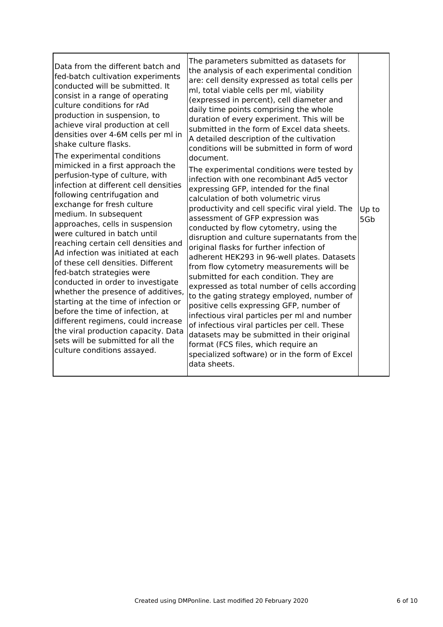| Data from the different batch and<br>fed-batch cultivation experiments<br>conducted will be submitted. It<br>consist in a range of operating<br>culture conditions for rAd<br>production in suspension, to<br>achieve viral production at cell<br>densities over 4-6M cells per ml in<br>shake culture flasks.<br>The experimental conditions<br>mimicked in a first approach the<br>perfusion-type of culture, with<br>infection at different cell densities<br>following centrifugation and<br>exchange for fresh culture<br>medium. In subsequent<br>approaches, cells in suspension<br>were cultured in batch until<br>reaching certain cell densities and<br>Ad infection was initiated at each<br>of these cell densities. Different<br>fed-batch strategies were<br>conducted in order to investigate<br>whether the presence of additives,<br>starting at the time of infection or<br>before the time of infection, at<br>different regimens, could increase<br>the viral production capacity. Data<br>sets will be submitted for all the<br>culture conditions assayed. | The parameters submitted as datasets for<br>the analysis of each experimental condition<br>are: cell density expressed as total cells per<br>ml, total viable cells per ml, viability<br>(expressed in percent), cell diameter and<br>daily time points comprising the whole<br>duration of every experiment. This will be<br>submitted in the form of Excel data sheets.<br>A detailed description of the cultivation<br>conditions will be submitted in form of word<br>document.<br>The experimental conditions were tested by<br>infection with one recombinant Ad5 vector<br>expressing GFP, intended for the final<br>calculation of both volumetric virus<br>productivity and cell specific viral yield. The<br>assessment of GFP expression was<br>conducted by flow cytometry, using the<br>disruption and culture supernatants from the<br>original flasks for further infection of<br>adherent HEK293 in 96-well plates. Datasets<br>from flow cytometry measurements will be<br>submitted for each condition. They are<br>expressed as total number of cells according<br>to the gating strategy employed, number of<br>positive cells expressing GFP, number of<br>infectious viral particles per ml and number<br>of infectious viral particles per cell. These<br>datasets may be submitted in their original<br>format (FCS files, which require an<br>specialized software) or in the form of Excel<br>data sheets. | Up to<br>5Gb |
|----------------------------------------------------------------------------------------------------------------------------------------------------------------------------------------------------------------------------------------------------------------------------------------------------------------------------------------------------------------------------------------------------------------------------------------------------------------------------------------------------------------------------------------------------------------------------------------------------------------------------------------------------------------------------------------------------------------------------------------------------------------------------------------------------------------------------------------------------------------------------------------------------------------------------------------------------------------------------------------------------------------------------------------------------------------------------------|--------------------------------------------------------------------------------------------------------------------------------------------------------------------------------------------------------------------------------------------------------------------------------------------------------------------------------------------------------------------------------------------------------------------------------------------------------------------------------------------------------------------------------------------------------------------------------------------------------------------------------------------------------------------------------------------------------------------------------------------------------------------------------------------------------------------------------------------------------------------------------------------------------------------------------------------------------------------------------------------------------------------------------------------------------------------------------------------------------------------------------------------------------------------------------------------------------------------------------------------------------------------------------------------------------------------------------------------------------------------------------------------------------------------------------------|--------------|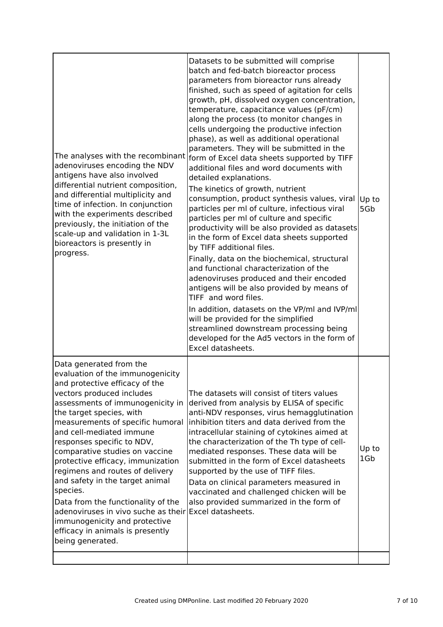| The analyses with the recombinant<br>adenoviruses encoding the NDV<br>antigens have also involved<br>differential nutrient composition,<br>and differential multiplicity and<br>time of infection. In conjunction<br>with the experiments described<br>previously, the initiation of the<br>scale-up and validation in 1-3L<br>bioreactors is presently in<br>progress.                                                                                                                                                                                                                                                                   | Datasets to be submitted will comprise<br>batch and fed-batch bioreactor process<br>parameters from bioreactor runs already<br>finished, such as speed of agitation for cells<br>growth, pH, dissolved oxygen concentration,<br>temperature, capacitance values (pF/cm)<br>along the process (to monitor changes in<br>cells undergoing the productive infection<br>phase), as well as additional operational<br>parameters. They will be submitted in the<br>form of Excel data sheets supported by TIFF<br>additional files and word documents with<br>detailed explanations.<br>The kinetics of growth, nutrient<br>consumption, product synthesis values, viral<br>particles per ml of culture, infectious viral<br>particles per ml of culture and specific<br>productivity will be also provided as datasets<br>in the form of Excel data sheets supported<br>by TIFF additional files.<br>Finally, data on the biochemical, structural<br>and functional characterization of the<br>adenoviruses produced and their encoded<br>antigens will be also provided by means of<br>TIFF and word files.<br>In addition, datasets on the VP/ml and IVP/ml<br>will be provided for the simplified<br>streamlined downstream processing being<br>developed for the Ad5 vectors in the form of<br>Excel datasheets. | Up to<br>5G <sub>b</sub> |
|-------------------------------------------------------------------------------------------------------------------------------------------------------------------------------------------------------------------------------------------------------------------------------------------------------------------------------------------------------------------------------------------------------------------------------------------------------------------------------------------------------------------------------------------------------------------------------------------------------------------------------------------|------------------------------------------------------------------------------------------------------------------------------------------------------------------------------------------------------------------------------------------------------------------------------------------------------------------------------------------------------------------------------------------------------------------------------------------------------------------------------------------------------------------------------------------------------------------------------------------------------------------------------------------------------------------------------------------------------------------------------------------------------------------------------------------------------------------------------------------------------------------------------------------------------------------------------------------------------------------------------------------------------------------------------------------------------------------------------------------------------------------------------------------------------------------------------------------------------------------------------------------------------------------------------------------------------------------|--------------------------|
| Data generated from the<br>evaluation of the immunogenicity<br>and protective efficacy of the<br>vectors produced includes<br>assessments of immunogenicity in<br>the target species, with<br>measurements of specific humoral<br>and cell-mediated immune<br>responses specific to NDV,<br>comparative studies on vaccine<br>protective efficacy, immunization<br>regimens and routes of delivery<br>and safety in the target animal<br>species.<br>Data from the functionality of the<br>adenoviruses in vivo suche as their Excel datasheets.<br>immunogenicity and protective<br>efficacy in animals is presently<br>being generated. | The datasets will consist of titers values<br>derived from analysis by ELISA of specific<br>anti-NDV responses, virus hemagglutination<br>inhibition titers and data derived from the<br>intracellular staining of cytokines aimed at<br>the characterization of the Th type of cell-<br>mediated responses. These data will be<br>submitted in the form of Excel datasheets<br>supported by the use of TIFF files.<br>Data on clinical parameters measured in<br>vaccinated and challenged chicken will be<br>also provided summarized in the form of                                                                                                                                                                                                                                                                                                                                                                                                                                                                                                                                                                                                                                                                                                                                                           | Up to<br>1Gb             |
|                                                                                                                                                                                                                                                                                                                                                                                                                                                                                                                                                                                                                                           |                                                                                                                                                                                                                                                                                                                                                                                                                                                                                                                                                                                                                                                                                                                                                                                                                                                                                                                                                                                                                                                                                                                                                                                                                                                                                                                  |                          |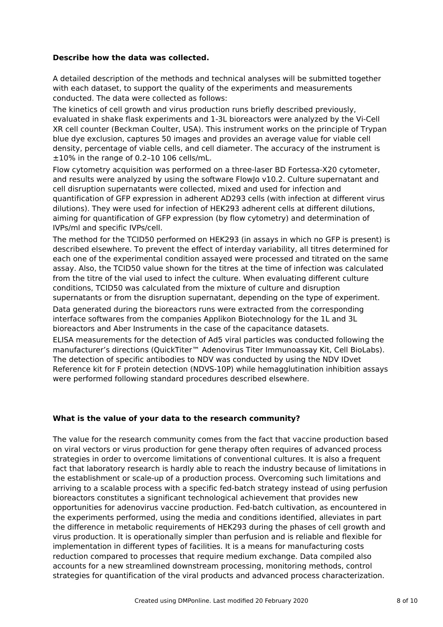### **Describe how the data was collected.**

A detailed description of the methods and technical analyses will be submitted together with each dataset, to support the quality of the experiments and measurements conducted. The data were collected as follows:

The kinetics of cell growth and virus production runs briefly described previously, evaluated in shake flask experiments and 1-3L bioreactors were analyzed by the Vi-Cell XR cell counter (Beckman Coulter, USA). This instrument works on the principle of Trypan blue dye exclusion, captures 50 images and provides an average value for viable cell density, percentage of viable cells, and cell diameter. The accuracy of the instrument is ±10% in the range of 0.2–10 106 cells/mL.

Flow cytometry acquisition was performed on a three-laser BD Fortessa-X20 cytometer, and results were analyzed by using the software FlowJo v10.2. Culture supernatant and cell disruption supernatants were collected, mixed and used for infection and quantification of GFP expression in adherent AD293 cells (with infection at different virus dilutions). They were used for infection of HEK293 adherent cells at different dilutions, aiming for quantification of GFP expression (by flow cytometry) and determination of IVPs/ml and specific IVPs/cell.

The method for the TCID50 performed on HEK293 (in assays in which no GFP is present) is described elsewhere. To prevent the effect of interday variability, all titres determined for each one of the experimental condition assayed were processed and titrated on the same assay. Also, the TCID50 value shown for the titres at the time of infection was calculated from the titre of the vial used to infect the culture. When evaluating different culture conditions, TCID50 was calculated from the mixture of culture and disruption supernatants or from the disruption supernatant, depending on the type of experiment.

Data generated during the bioreactors runs were extracted from the corresponding interface softwares from the companies Applikon Biotechnology for the 1L and 3L bioreactors and Aber Instruments in the case of the capacitance datasets.

ELISA measurements for the detection of Ad5 viral particles was conducted following the manufacturer's directions (QuickTiter™ Adenovirus Titer Immunoassay Kit, Cell BioLabs). The detection of specific antibodies to NDV was conducted by using the NDV IDvet Reference kit for F protein detection (NDVS-10P) while hemagglutination inhibition assays were performed following standard procedures described elsewhere.

### **What is the value of your data to the research community?**

The value for the research community comes from the fact that vaccine production based on viral vectors or virus production for gene therapy often requires of advanced process strategies in order to overcome limitations of conventional cultures. It is also a frequent fact that laboratory research is hardly able to reach the industry because of limitations in the establishment or scale-up of a production process. Overcoming such limitations and arriving to a scalable process with a specific fed-batch strategy instead of using perfusion bioreactors constitutes a significant technological achievement that provides new opportunities for adenovirus vaccine production. Fed-batch cultivation, as encountered in the experiments performed, using the media and conditions identified, alleviates in part the difference in metabolic requirements of HEK293 during the phases of cell growth and virus production. It is operationally simpler than perfusion and is reliable and flexible for implementation in different types of facilities. It is a means for manufacturing costs reduction compared to processes that require medium exchange. Data compiled also accounts for a new streamlined downstream processing, monitoring methods, control strategies for quantification of the viral products and advanced process characterization.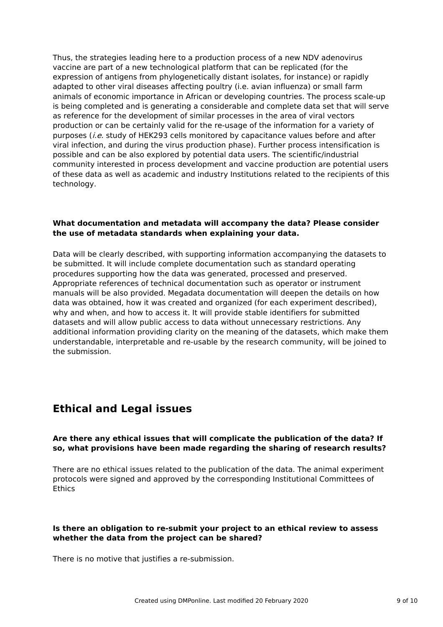Thus, the strategies leading here to a production process of a new NDV adenovirus vaccine are part of a new technological platform that can be replicated (for the expression of antigens from phylogenetically distant isolates, for instance) or rapidly adapted to other viral diseases affecting poultry (i.e. avian influenza) or small farm animals of economic importance in African or developing countries. The process scale-up is being completed and is generating a considerable and complete data set that will serve as reference for the development of similar processes in the area of viral vectors production or can be certainly valid for the re-usage of the information for a variety of purposes (*i.e.* study of HEK293 cells monitored by capacitance values before and after viral infection, and during the virus production phase). Further process intensification is possible and can be also explored by potential data users. The scientific/industrial community interested in process development and vaccine production are potential users of these data as well as academic and industry Institutions related to the recipients of this technology.

#### **What documentation and metadata will accompany the data? Please consider the use of metadata standards when explaining your data.**

Data will be clearly described, with supporting information accompanying the datasets to be submitted. It will include complete documentation such as standard operating procedures supporting how the data was generated, processed and preserved. Appropriate references of technical documentation such as operator or instrument manuals will be also provided. Megadata documentation will deepen the details on how data was obtained, how it was created and organized (for each experiment described), why and when, and how to access it. It will provide stable identifiers for submitted datasets and will allow public access to data without unnecessary restrictions. Any additional information providing clarity on the meaning of the datasets, which make them understandable, interpretable and re-usable by the research community, will be joined to the submission.

# **Ethical and Legal issues**

### **Are there any ethical issues that will complicate the publication of the data? If so, what provisions have been made regarding the sharing of research results?**

There are no ethical issues related to the publication of the data. The animal experiment protocols were signed and approved by the corresponding Institutional Committees of Ethics

### **Is there an obligation to re-submit your project to an ethical review to assess whether the data from the project can be shared?**

There is no motive that justifies a re-submission.